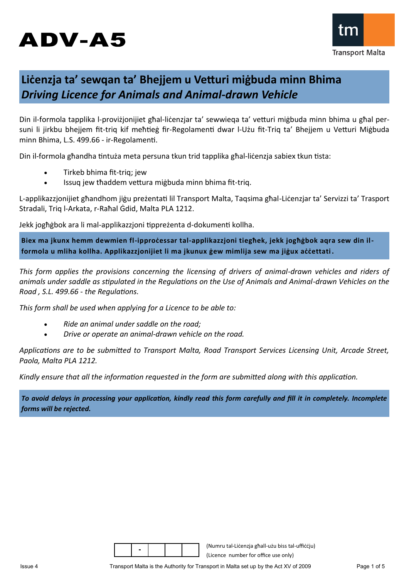# **ADV-A5**



## **Liċenzja ta' sewqan ta' Bhejjem u Vetturi miġbuda minn Bhima** *Driving Licence for Animals and Animal-drawn Vehicle*

Din il-formola tapplika l-proviżjonijiet għal-liċenzjar ta' sewwieqa ta' vetturi miġbuda minn bhima u għal persuni li jirkbu bhejjem fit-triq kif meħtieġ fir-Regolamenti dwar l-Użu fit-Triq ta' Bhejjem u Vetturi Miġbuda minn Bhima, L.S. 499.66 - ir-Regolamenti.

Din il-formola għandha tintuża meta persuna tkun trid tapplika għal-liċenzja sabiex tkun tista:

- Tirkeb bhima fit-triq; jew
- Issuq jew tħaddem vettura miġbuda minn bhima fit-triq.

L-applikazzjonijiet għandhom jiġu preżentati lil Transport Malta, Taqsima għal-Liċenzjar ta' Servizzi ta' Trasport Stradali, Triq l-Arkata, r-Raħal Ġdid, Malta PLA 1212.

Jekk jogħġbok ara li mal-applikazzjoni tippreżenta d-dokumenti kollha.

**Biex ma jkunx hemm dewmien fl-ipproċessar tal-applikazzjoni tiegħek, jekk jogħġbok aqra sew din ilformola u mliha kollha. Applikazzjonijiet li ma jkunux ġew mimlija sew ma jiġux aċċettati .**

*This form applies the provisions concerning the licensing of drivers of animal-drawn vehicles and riders of animals under saddle as stipulated in the Regulations on the Use of Animals and Animal-drawn Vehicles on the Road , S.L. 499.66 - the Regulations.*

*This form shall be used when applying for a Licence to be able to:*

- *Ride an animal under saddle on the road;*
- *Drive or operate an animal-drawn vehicle on the road.*

*Applications are to be submitted to Transport Malta, Road Transport Services Licensing Unit, Arcade Street, Paola, Malta PLA 1212.*

*Kindly ensure that all the information requested in the form are submitted along with this application.* 

*To avoid delays in processing your application, kindly read this form carefully and fill it in completely. Incomplete forms will be rejected.*

|--|

(Numru tal-Liċenzja għall-użu biss tal-uffiċċju) (Licence number for office use only)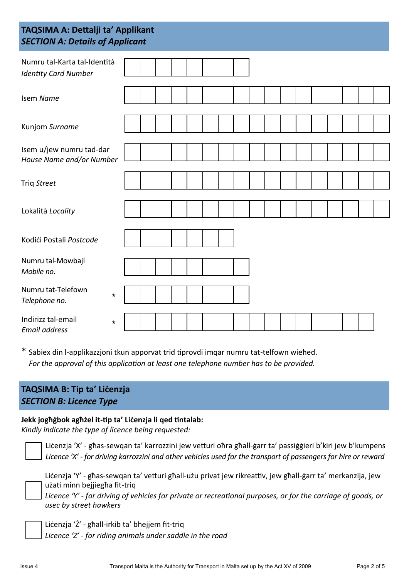### **TAQSIMA A: Dettalji ta' Applikant** *SECTION A: Details of Applicant*

| Numru tal-Karta tal-Identità<br><b>Identity Card Number</b> |         |  |  |  |  |  |  |  |  |  |
|-------------------------------------------------------------|---------|--|--|--|--|--|--|--|--|--|
| Isem Name                                                   |         |  |  |  |  |  |  |  |  |  |
| Kunjom Surname                                              |         |  |  |  |  |  |  |  |  |  |
| Isem u/jew numru tad-dar<br>House Name and/or Number        |         |  |  |  |  |  |  |  |  |  |
| Triq Street                                                 |         |  |  |  |  |  |  |  |  |  |
| Lokalità Locality                                           |         |  |  |  |  |  |  |  |  |  |
| Kodići Postali Postcode                                     |         |  |  |  |  |  |  |  |  |  |
| Numru tal-Mowbajl<br>Mobile no.                             |         |  |  |  |  |  |  |  |  |  |
| Numru tat-Telefown<br>Telephone no.                         | $\star$ |  |  |  |  |  |  |  |  |  |
| Indirizz tal-email<br><b>Email address</b>                  | $\star$ |  |  |  |  |  |  |  |  |  |

\* Sabiex din l-applikazzjoni tkun apporvat trid tiprovdi imqar numru tat-telfown wieħed. *For the approval of this application at least one telephone number has to be provided.*

### **TAQSIMA B: Tip ta' Liċenzja**  *SECTION B: Licence Type*

### **Jekk jogħġbok agħżel it-tip ta' Liċenzja li qed tintalab:**

*Kindly indicate the type of licence being requested:*



Liċenzja 'X' - għas-sewqan ta' karrozzini jew vetturi oħra għall-ġarr ta' passiġġieri b'kiri jew b'kumpens Licence 'X' - for driving karrozzini and other vehicles used for the transport of passengers for hire or reward



Liċenzja 'Y' - għas-sewqan ta' vetturi għall-użu privat jew rikreattiv, jew għall-ġarr ta' merkanzija, jew użati minn bejjiegħa fit-triq

*Licence 'Y' - for driving of vehicles for private or recreational purposes, or for the carriage of goods, or usec by street hawkers*

Liċenzja 'Ż' - għall-irkib ta' bhejjem fit-triq

*Licence 'Z' - for riding animals under saddle in the road*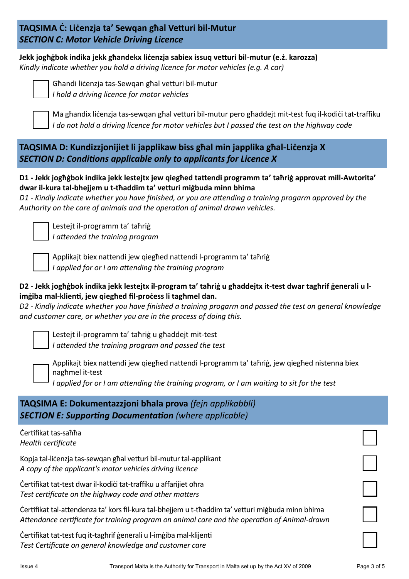### **TAQSIMA Ċ: Liċenzja ta' Sewqan għal Vetturi bil-Mutur** *SECTION C: Motor Vehicle Driving Licence*

**Jekk jogħġbok indika jekk għandekx liċenzja sabiex issuq vetturi bil-mutur (e.ż. karozza)** *Kindly indicate whether you hold a driving licence for motor vehicles (e.g. A car)*



Għandi liċenzja tas-Sewqan għal vetturi bil-mutur *I hold a driving licence for motor vehicles*

Ma għandix liċenzja tas-sewqan għal vetturi bil-mutur pero għaddejt mit-test fuq il-kodiċi tat-traffiku *I do not hold a driving licence for motor vehicles but I passed the test on the highway code*

### **TAQSIMA D: Kundizzjonijiet li japplikaw biss għal min japplika għal-Liċenzja X** *SECTION D: Conditions applicable only to applicants for Licence X*

#### **D1 - Jekk jogħġbok indika jekk lestejtx jew qiegħed tattendi programm ta' taħriġ approvat mill-Awtorita' dwar il-kura tal-bhejjem u t-tħaddim ta' vetturi miġbuda minn bhima**

*D1 - Kindly indicate whether you have finished, or you are attending a training progarm approved by the Authority on the care of animals and the operation of animal drawn vehicles.*

Lestejt il-programm ta' taħriġ *I attended the training program*

Applikajt biex nattendi jew qiegħed nattendi l-programm ta' taħriġ *I applied for or I am attending the training program*

### **D2 - Jekk jogħġbok indika jekk lestejtx il-program ta' taħriġ u għaddejtx it-test dwar tagħrif ġenerali u limġiba mal-klienti, jew qiegħed fil-proċess li tagħmel dan.**

*D2 - Kindly indicate whether you have finished a training progarm and passed the test on general knowledge and customer care, or whether you are in the process of doing this.*

Lestejt il-programm ta' taħriġ u għaddejt mit-test *I attended the training program and passed the test*

Applikajt biex nattendi jew qiegħed nattendi l-programm ta' taħriġ, jew qiegħed nistenna biex nagħmel it-test

*I applied for or I am attending the training program, or I am waiting to sit for the test*

| TAQSIMA E: Dokumentazzjoni bhala prova (fejn applikabbli)<br><b>SECTION E: Supporting Documentation (where applicable)</b>                                                                         |  |
|----------------------------------------------------------------------------------------------------------------------------------------------------------------------------------------------------|--|
| Certifikat tas-sahha<br>Health certificate                                                                                                                                                         |  |
| Kopja tal-licenzja tas-sewgan ghal vetturi bil-mutur tal-applikant<br>A copy of the applicant's motor vehicles driving licence                                                                     |  |
| Čertifikat tat-test dwar il-kodići tat-traffiku u affarijiet ohra<br>Test certificate on the highway code and other matters                                                                        |  |
| Certifikat tal-attendenza ta' kors fil-kura tal-bhejjem u t-thaddim ta' vetturi migbuda minn bhima<br>Attendance certificate for training program on animal care and the operation of Animal-drawn |  |
| Certifikat tat-test fug it-taghrif generali u l-imgiba mal-klijenti<br>Test Certificate on general knowledge and customer care                                                                     |  |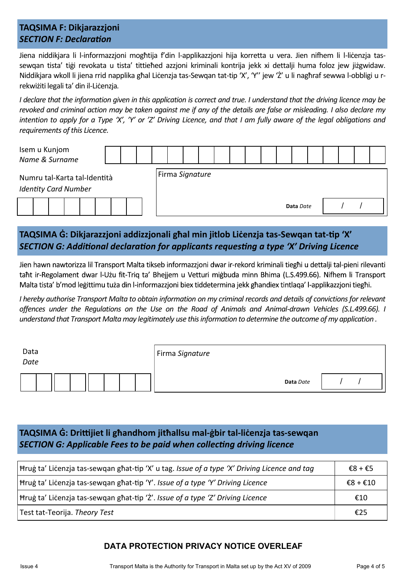### **TAQSIMA F: Dikjarazzjoni** *SECTION F: Declaration*

Jiena niddikjara li l-informazzjoni mogħtija f'din l-applikazzjoni hija korretta u vera. Jien nifhem li l-liċenzja tassewqan tista' tiġi revokata u tista' tittieħed azzjoni kriminali kontrija jekk xi dettalji huma foloz jew jiżgwidaw. Niddikjara wkoll li jiena rrid napplika għal Liċenzja tas-Sewqan tat-tip 'X', 'Y" jew 'Ż' u li nagħraf sewwa l-obbligi u rrekwiżiti legali ta' din il-Liċenzja*.*

*I declare that the information given in this application is correct and true. I understand that the driving licence may be revoked and criminal action may be taken against me if any of the details are false or misleading. I also declare my intention to apply for a Type 'X', 'Y' or 'Z' Driving Licence, and that I am fully aware of the legal obligations and requirements of this Licence.*

|                                                             | Isem u Kunjom<br>Name & Surname |  |  |  |  |  |                 |  |  |  |  |  |           |  |  |  |
|-------------------------------------------------------------|---------------------------------|--|--|--|--|--|-----------------|--|--|--|--|--|-----------|--|--|--|
| Numru tal-Karta tal-Identità<br><b>Identity Card Number</b> |                                 |  |  |  |  |  | Firma Signature |  |  |  |  |  |           |  |  |  |
|                                                             |                                 |  |  |  |  |  |                 |  |  |  |  |  | Data Date |  |  |  |

### **TAQSIMA Ġ: Dikjarazzjoni addizzjonali għal min jitlob Liċenzja tas-Sewqan tat-tip 'X'** *SECTION G: Additional declaration for applicants requesting a type 'X' Driving Licence*

Jien hawn nawtorizza lil Transport Malta tikseb informazzjoni dwar ir-rekord kriminali tieghi u dettalji tal-pieni rilevanti taht ir-Regolament dwar l-Użu fit-Trig ta' Bhejjem u Vetturi migbuda minn Bhima (L.S.499.66). Nifhem li Transport Malta tista' b'mod legittimu tuża din l-informazzjoni biex tiddetermina jekk ghandiex tintlaga' l-applikazzjoni tieghi.

*I hereby authorise Transport Malta to obtain information on my criminal records and details of convictions for relevant offences under the Regulations on the Use on the Road of Animals and Animal-drawn Vehicles (S.L.499.66). I understand that Transport Malta may legitimately use this information to determine the outcome of my application .*

| Data<br>Date | Firma Signature |  |
|--------------|-----------------|--|
|              | Data Date       |  |

### **TAQSIMA Ġ: Drittijiet li għandhom jitħallsu mal-ġbir tal-liċenzja tas-sewqan** *SECTION G: Applicable Fees to be paid when collecting driving licence*

| Hrug ta' Licenzja tas-sewgan ghat-tip 'X' u tag. Issue of a type 'X' Driving Licence and tag |          |  |  |  |  |  |  |
|----------------------------------------------------------------------------------------------|----------|--|--|--|--|--|--|
| Hrug ta' Licenzja tas-sewqan ghat-tip 'Y'. Issue of a type 'Y' Driving Licence               | €8 + €10 |  |  |  |  |  |  |
| Hrug ta' Licenzja tas-sewqan ghat-tip 'Z'. Issue of a type 'Z' Driving Licence               |          |  |  |  |  |  |  |
| Test tat-Teorija. Theory Test                                                                | €25      |  |  |  |  |  |  |

### **DATA PROTECTION PRIVACY NOTICE OVERLEAF**